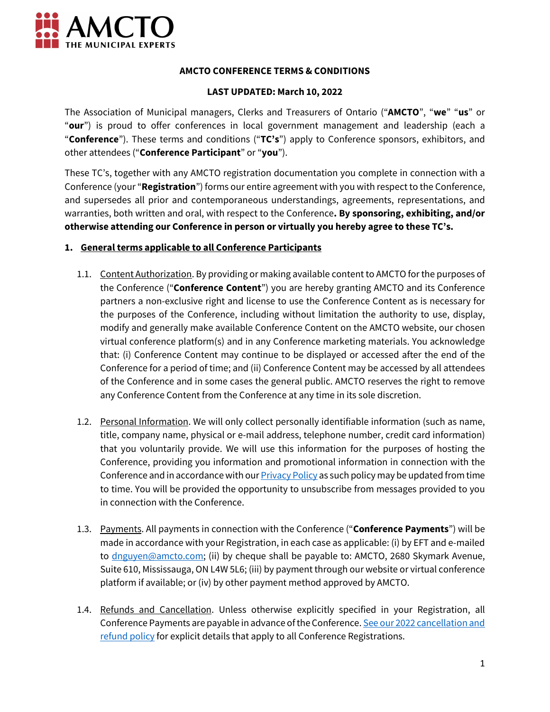

### **AMCTO CONFERENCE TERMS & CONDITIONS**

### **LAST UPDATED: March 10, 2022**

The Association of Municipal managers, Clerks and Treasurers of Ontario ("**AMCTO**", "**we**" "**us**" or "**our**") is proud to offer conferences in local government management and leadership (each a "**Conference**"). These terms and conditions ("**TC's**") apply to Conference sponsors, exhibitors, and other attendees ("**Conference Participant**" or "**you**").

These TC's, together with any AMCTO registration documentation you complete in connection with a Conference (your "**Registration**") forms our entire agreement with you with respect to the Conference, and supersedes all prior and contemporaneous understandings, agreements, representations, and warranties, both written and oral, with respect to the Conference**. By sponsoring, exhibiting, and/or otherwise attending our Conference in person or virtually you hereby agree to these TC's.**

# **1. General terms applicable to all Conference Participants**

- 1.1. Content Authorization. By providing or making available content to AMCTO for the purposes of the Conference ("**Conference Content**") you are hereby granting AMCTO and its Conference partners a non-exclusive right and license to use the Conference Content as is necessary for the purposes of the Conference, including without limitation the authority to use, display, modify and generally make available Conference Content on the AMCTO website, our chosen virtual conference platform(s) and in any Conference marketing materials. You acknowledge that: (i) Conference Content may continue to be displayed or accessed after the end of the Conference for a period of time; and (ii) Conference Content may be accessed by all attendees of the Conference and in some cases the general public. AMCTO reserves the right to remove any Conference Content from the Conference at any time in its sole discretion.
- 1.2. Personal Information. We will only collect personally identifiable information (such as name, title, company name, physical or e-mail address, telephone number, credit card information) that you voluntarily provide. We will use this information for the purposes of hosting the Conference, providing you information and promotional information in connection with the Conference and in accordance with our [Privacy Policy](https://www.amcto.com/About/Personal-Information-Policy) as such policy may be updated from time to time. You will be provided the opportunity to unsubscribe from messages provided to you in connection with the Conference.
- 1.3. Payments. All payments in connection with the Conference ("**Conference Payments**") will be made in accordance with your Registration, in each case as applicable: (i) by EFT and e-mailed to [dnguyen@amcto.com;](mailto:dnguyen@amcto.com) (ii) by cheque shall be payable to: AMCTO, 2680 Skymark Avenue, Suite 610, Mississauga, ON L4W 5L6; (iii) by payment through our website or virtual conference platform if available; or (iv) by other payment method approved by AMCTO.
- 1.4. Refunds and Cancellation. Unless otherwise explicitly specified in your Registration, all Conference Payments are payable in advance of the Conference. See [our 2022 cancellation and](https://www.amcto.com/getmedia/c0f53292-fb4d-4fb6-be8d-da63d73e4328/REFUND-POLICY_-2022.aspx)  [refund policy](https://www.amcto.com/getmedia/c0f53292-fb4d-4fb6-be8d-da63d73e4328/REFUND-POLICY_-2022.aspx) for explicit details that apply to all Conference Registrations.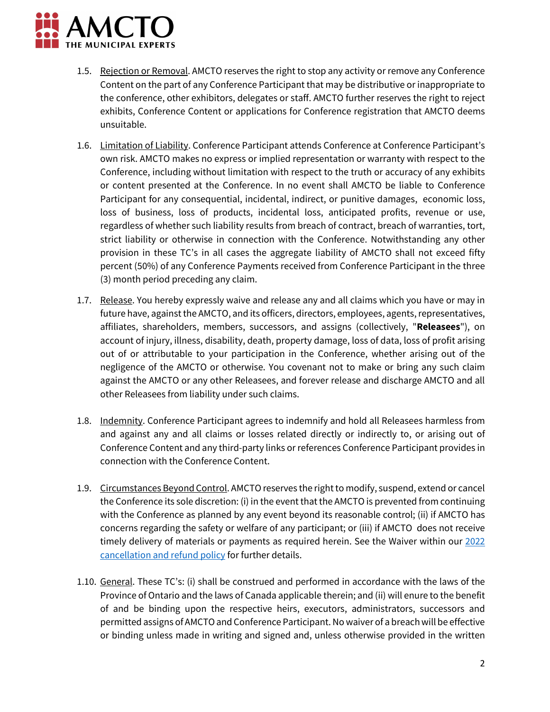

- 1.5. Rejection or Removal. AMCTO reserves the right to stop any activity or remove any Conference Content on the part of any Conference Participant that may be distributive or inappropriate to the conference, other exhibitors, delegates or staff. AMCTO further reserves the right to reject exhibits, Conference Content or applications for Conference registration that AMCTO deems unsuitable.
- 1.6. Limitation of Liability. Conference Participant attends Conference at Conference Participant's own risk. AMCTO makes no express or implied representation or warranty with respect to the Conference, including without limitation with respect to the truth or accuracy of any exhibits or content presented at the Conference. In no event shall AMCTO be liable to Conference Participant for any consequential, incidental, indirect, or punitive damages, economic loss, loss of business, loss of products, incidental loss, anticipated profits, revenue or use, regardless of whether such liability results from breach of contract, breach of warranties, tort, strict liability or otherwise in connection with the Conference. Notwithstanding any other provision in these TC's in all cases the aggregate liability of AMCTO shall not exceed fifty percent (50%) of any Conference Payments received from Conference Participant in the three (3) month period preceding any claim.
- 1.7. Release. You hereby expressly waive and release any and all claims which you have or may in future have, against the AMCTO, and its officers, directors, employees, agents, representatives, affiliates, shareholders, members, successors, and assigns (collectively, "**Releasees**"), on account of injury, illness, disability, death, property damage, loss of data, loss of profit arising out of or attributable to your participation in the Conference, whether arising out of the negligence of the AMCTO or otherwise. You covenant not to make or bring any such claim against the AMCTO or any other Releasees, and forever release and discharge AMCTO and all other Releasees from liability under such claims.
- 1.8. Indemnity. Conference Participant agrees to indemnify and hold all Releasees harmless from and against any and all claims or losses related directly or indirectly to, or arising out of Conference Content and any third-party links or references Conference Participant provides in connection with the Conference Content.
- 1.9. Circumstances Beyond Control. AMCTO reserves the right to modify, suspend, extend or cancel the Conference its sole discretion: (i) in the event that the AMCTO is prevented from continuing with the Conference as planned by any event beyond its reasonable control; (ii) if AMCTO has concerns regarding the safety or welfare of any participant; or (iii) if AMCTO does not receive timely delivery of materials or payments as required herein. See the Waiver within our 2022 [cancellation and refund policy](https://www.amcto.com/getmedia/c0f53292-fb4d-4fb6-be8d-da63d73e4328/REFUND-POLICY_-2022.aspx) for further details.
- 1.10. General. These TC's: (i) shall be construed and performed in accordance with the laws of the Province of Ontario and the laws of Canada applicable therein; and (ii) will enure to the benefit of and be binding upon the respective heirs, executors, administrators, successors and permitted assigns of AMCTO and Conference Participant. No waiver of a breach will be effective or binding unless made in writing and signed and, unless otherwise provided in the written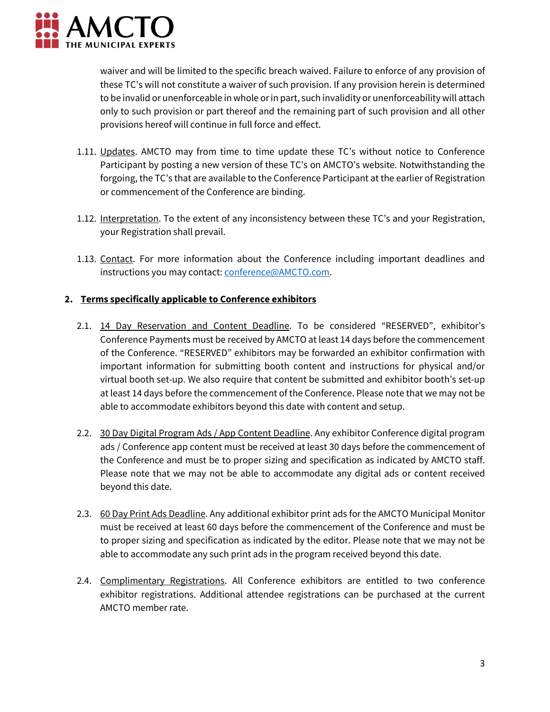

waiver and will be limited to the specific breach waived. Failure to enforce of any provision of these TC's will not constitute a waiver of such provision. If any provision herein is determined to be invalid or unenforceable in whole or in part, such invalidity or unenforceability will attach only to such provision or part thereof and the remaining part of such provision and all other provisions hereof will continue in full force and effect.

- 1.11. Updates. AMCTO may from time to time update these TC's without notice to Conference Participant by posting a new version of these TC's on AMCTO's website. Notwithstanding the forgoing, the TC's that are available to the Conference Participant at the earlier of Registration or commencement of the Conference are binding.
- 1.12. Interpretation. To the extent of any inconsistency between these TC's and your Registration, your Registration shall prevail.
- 1.13. Contact. For more information about the Conference including important deadlines and instructions you may contact: [conference@AMCTO.com.](mailto:conference@AMCTO.com)

#### **2. Terms specifically applicable to Conference exhibitors**

- 2.1. 14 Day Reservation and Content Deadline. To be considered "RESERVED", exhibitor's Conference Payments must be received by AMCTO at least 14 days before the commencement of the Conference. "RESERVED" exhibitors may be forwarded an exhibitor confirmation with important information for submitting booth content and instructions for physical and/or virtual booth set-up. We also require that content be submitted and exhibitor booth's set-up at least 14 days before the commencement of the Conference. Please note that we may not be able to accommodate exhibitors beyond this date with content and setup.
- 2.2. 30 Day Digital Program Ads / App Content Deadline. Any exhibitor Conference digital program ads / Conference app content must be received at least 30 days before the commencement of the Conference and must be to proper sizing and specification as indicated by AMCTO staff. Please note that we may not be able to accommodate any digital ads or content received beyond this date.
- 2.3. 60 Day Print Ads Deadline. Any additional exhibitor print ads for the AMCTO Municipal Monitor must be received at least 60 days before the commencement of the Conference and must be to proper sizing and specification as indicated by the editor. Please note that we may not be able to accommodate any such print ads in the program received beyond this date.
- 2.4. Complimentary Registrations. All Conference exhibitors are entitled to two conference exhibitor registrations. Additional attendee registrations can be purchased at the current AMCTO member rate.